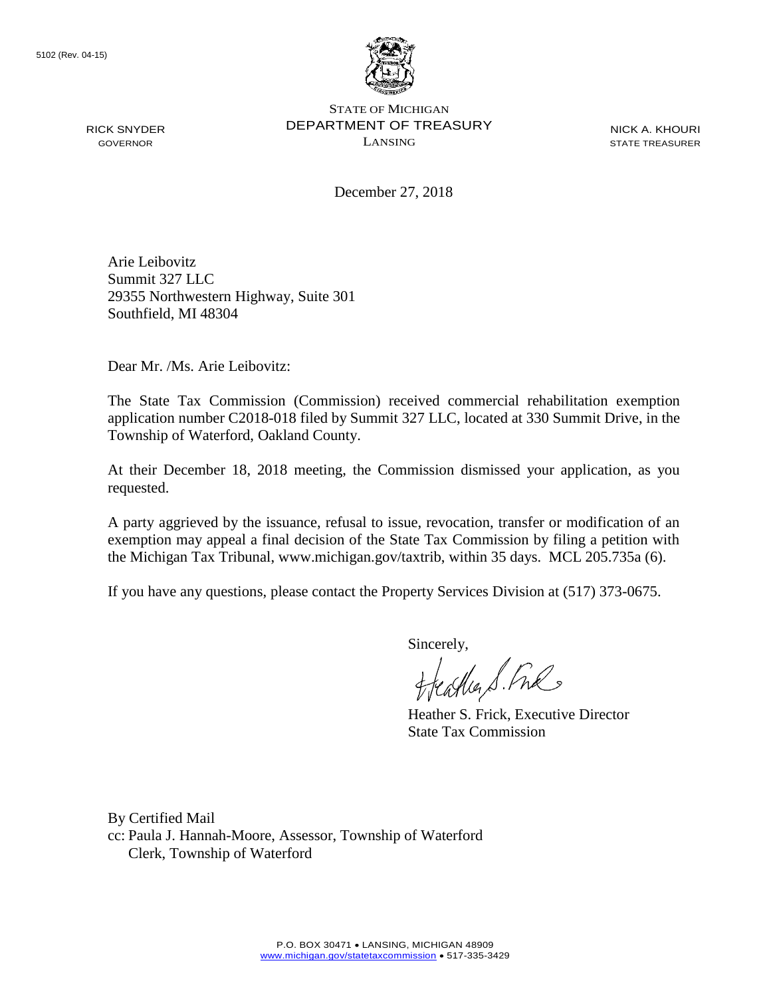RICK SNYDER GOVERNOR



STATE OF MICHIGAN DEPARTMENT OF TREASURY LANSING

NICK A. KHOURI STATE TREASURER

December 27, 2018

Arie Leibovitz Summit 327 LLC 29355 Northwestern Highway, Suite 301 Southfield, MI 48304

Dear Mr. /Ms. Arie Leibovitz:

The State Tax Commission (Commission) received commercial rehabilitation exemption application number C2018-018 filed by Summit 327 LLC, located at 330 Summit Drive, in the Township of Waterford, Oakland County.

At their December 18, 2018 meeting, the Commission dismissed your application, as you requested.

A party aggrieved by the issuance, refusal to issue, revocation, transfer or modification of an exemption may appeal a final decision of the State Tax Commission by filing a petition with the Michigan Tax Tribunal, www.michigan.gov/taxtrib, within 35 days. MCL 205.735a (6).

If you have any questions, please contact the Property Services Division at (517) 373-0675.

Sincerely,

caller S. Free

Heather S. Frick, Executive Director State Tax Commission

By Certified Mail cc: Paula J. Hannah-Moore, Assessor, Township of Waterford Clerk, Township of Waterford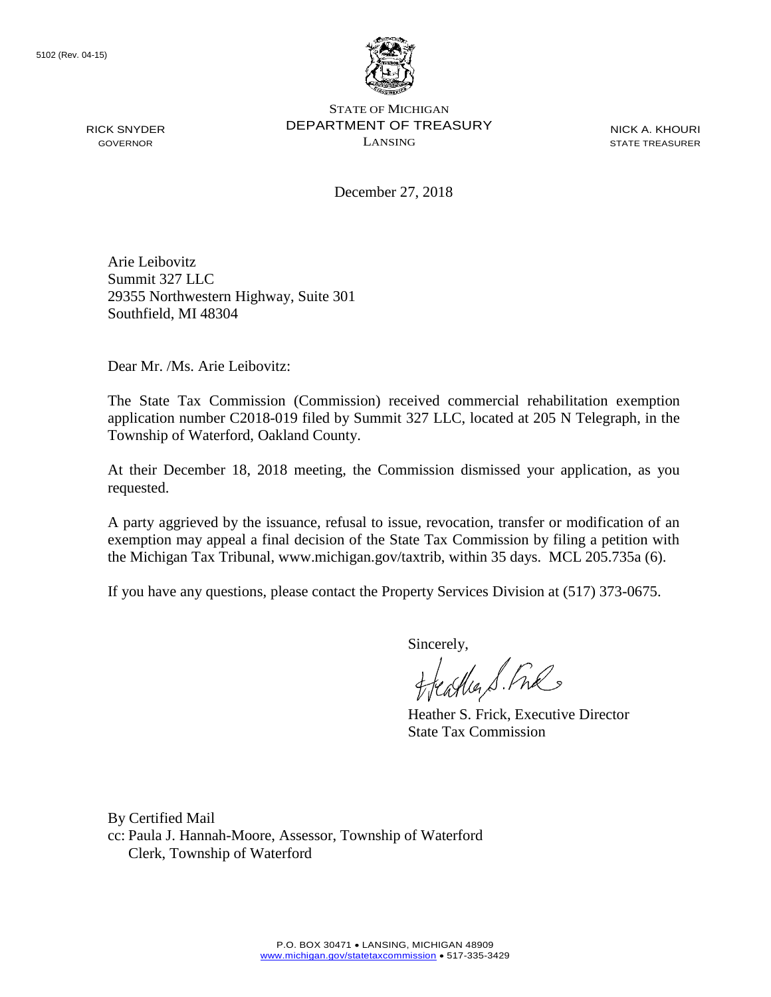

STATE OF MICHIGAN DEPARTMENT OF TREASURY LANSING

NICK A. KHOURI STATE TREASURER

December 27, 2018

Arie Leibovitz Summit 327 LLC 29355 Northwestern Highway, Suite 301 Southfield, MI 48304

Dear Mr. /Ms. Arie Leibovitz:

The State Tax Commission (Commission) received commercial rehabilitation exemption application number C2018-019 filed by Summit 327 LLC, located at 205 N Telegraph, in the Township of Waterford, Oakland County.

At their December 18, 2018 meeting, the Commission dismissed your application, as you requested.

A party aggrieved by the issuance, refusal to issue, revocation, transfer or modification of an exemption may appeal a final decision of the State Tax Commission by filing a petition with the Michigan Tax Tribunal, www.michigan.gov/taxtrib, within 35 days. MCL 205.735a (6).

If you have any questions, please contact the Property Services Division at (517) 373-0675.

Sincerely,

carlier S. Free

Heather S. Frick, Executive Director State Tax Commission

By Certified Mail cc: Paula J. Hannah-Moore, Assessor, Township of Waterford Clerk, Township of Waterford

RICK SNYDER GOVERNOR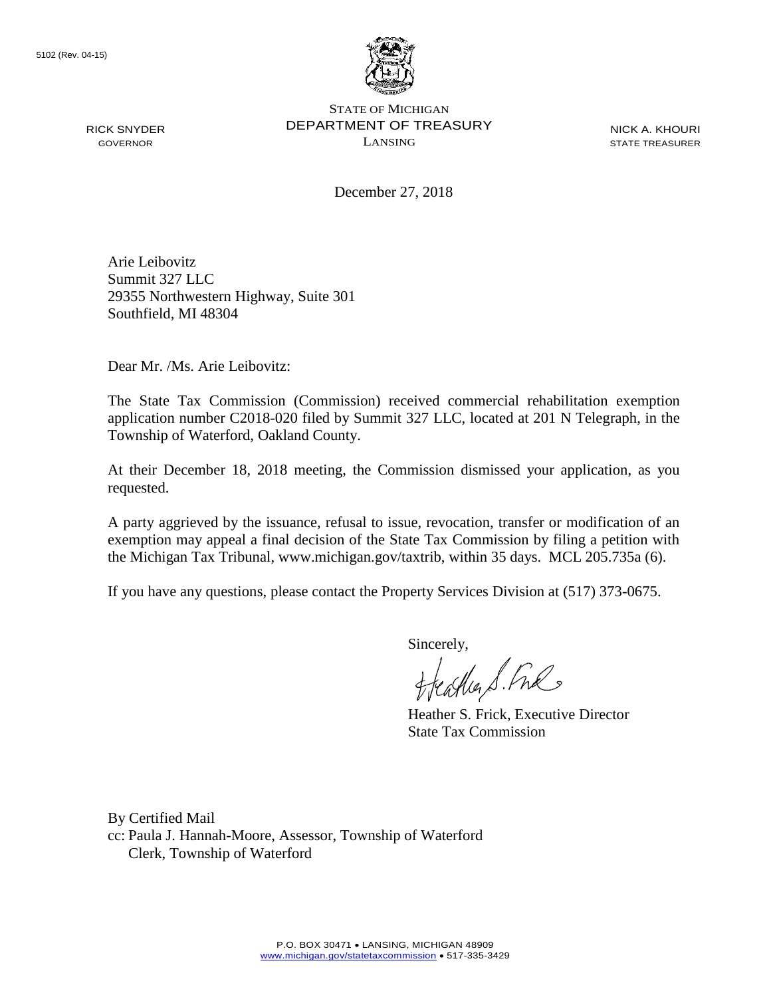RICK SNYDER GOVERNOR



STATE OF MICHIGAN DEPARTMENT OF TREASURY LANSING

NICK A. KHOURI STATE TREASURER

December 27, 2018

Arie Leibovitz Summit 327 LLC 29355 Northwestern Highway, Suite 301 Southfield, MI 48304

Dear Mr. /Ms. Arie Leibovitz:

The State Tax Commission (Commission) received commercial rehabilitation exemption application number C2018-020 filed by Summit 327 LLC, located at 201 N Telegraph, in the Township of Waterford, Oakland County.

At their December 18, 2018 meeting, the Commission dismissed your application, as you requested.

A party aggrieved by the issuance, refusal to issue, revocation, transfer or modification of an exemption may appeal a final decision of the State Tax Commission by filing a petition with the Michigan Tax Tribunal, www.michigan.gov/taxtrib, within 35 days. MCL 205.735a (6).

If you have any questions, please contact the Property Services Division at (517) 373-0675.

Sincerely,

carlier S. Free

Heather S. Frick, Executive Director State Tax Commission

By Certified Mail cc: Paula J. Hannah-Moore, Assessor, Township of Waterford Clerk, Township of Waterford